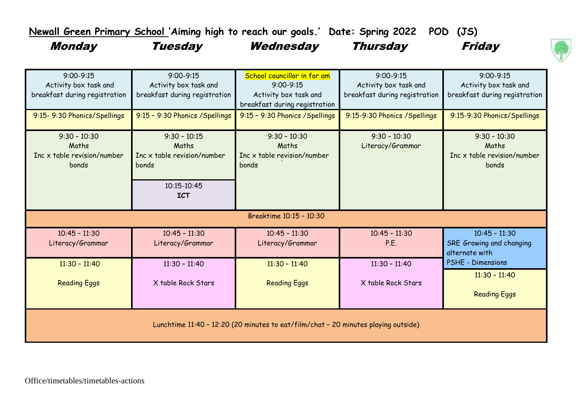**Newall Green Primary School 'Aiming high to reach our goals.' Date: Spring 2022 POD (JS)**

Monday Tuesday Wednesday Thursday Friday





| $9:00 - 9:15$<br>Activity box task and<br>breakfast during registration            | $9:00 - 9:15$<br>Activity box task and<br>breakfast during registration                      | School councillor in for am<br>$9:00 - 9:15$<br>Activity box task and<br>breakfast during registration | $9:00 - 9:15$<br>Activity box task and<br>breakfast during registration | $9:00 - 9:15$<br>Activity box task and<br>breakfast during registration |  |  |
|------------------------------------------------------------------------------------|----------------------------------------------------------------------------------------------|--------------------------------------------------------------------------------------------------------|-------------------------------------------------------------------------|-------------------------------------------------------------------------|--|--|
| 9:15-9:30 Phonics/Spellings                                                        | 9:15 - 9:30 Phonics / Spellings                                                              | 9:15 - 9:30 Phonics / Spellings                                                                        | 9:15-9:30 Phonics / Spellings                                           | 9:15-9:30 Phonics/Spellings                                             |  |  |
| $9:30 - 10:30$<br>Maths<br>Inc $x$ table revision/number<br>bonds                  | $9:30 - 10:15$<br>Maths<br>Inc x table revision/number<br>bonds<br>10:15-10:45<br><b>ICT</b> | $9:30 - 10:30$<br>Maths<br>Inc x table revision/number<br>bonds                                        | $9:30 - 10:30$<br>Literacy/Grammar                                      | $9:30 - 10:30$<br>Maths<br>Inc x table revision/number<br>bonds         |  |  |
| Breaktime 10:15 - 10:30                                                            |                                                                                              |                                                                                                        |                                                                         |                                                                         |  |  |
| $10:45 - 11:30$<br>Literacy/Grammar                                                | $10:45 - 11:30$<br>Literacy/Grammar                                                          | $10:45 - 11:30$<br>Literacy/Grammar                                                                    | $10:45 - 11:30$<br>P.E.                                                 | $10:45 - 11:30$<br>SRE Growing and changing<br>alternate with           |  |  |
| $11:30 - 11:40$<br><b>Reading Eggs</b>                                             | $11:30 - 11:40$<br>X table Rock Stars                                                        | $11:30 - 11:40$<br><b>Reading Eggs</b>                                                                 | $11:30 - 11:40$<br>X table Rock Stars                                   | PSHE - Dimensions<br>$11:30 - 11:40$<br><b>Reading Eggs</b>             |  |  |
| Lunchtime 11:40 - 12:20 (20 minutes to eat/film/chat - 20 minutes playing outside) |                                                                                              |                                                                                                        |                                                                         |                                                                         |  |  |